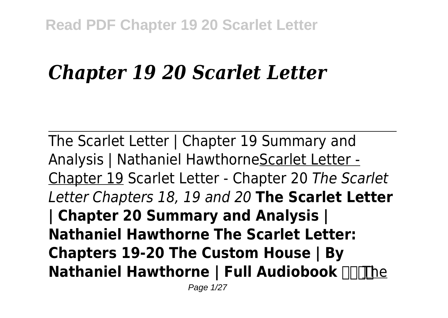# *Chapter 19 20 Scarlet Letter*

The Scarlet Letter | Chapter 19 Summary and Analysis | Nathaniel HawthorneScarlet Letter - Chapter 19 Scarlet Letter - Chapter 20 *The Scarlet Letter Chapters 18, 19 and 20* **The Scarlet Letter | Chapter 20 Summary and Analysis | Nathaniel Hawthorne The Scarlet Letter: Chapters 19-20 The Custom House | By Nathaniel Hawthorne | Full Audiobook**  $\Pi$ **The**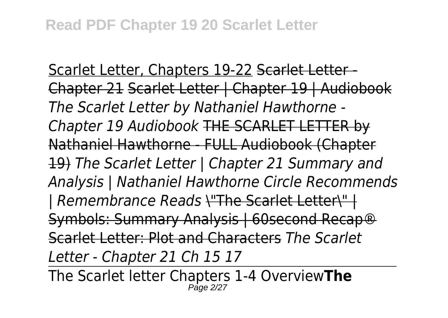Scarlet Letter, Chapters 19-22 Scarlet Letter-Chapter 21 Scarlet Letter | Chapter 19 | Audiobook *The Scarlet Letter by Nathaniel Hawthorne - Chapter 19 Audiobook* THE SCARLET LETTER by Nathaniel Hawthorne - FULL Audiobook (Chapter 19) *The Scarlet Letter | Chapter 21 Summary and Analysis | Nathaniel Hawthorne Circle Recommends | Remembrance Reads* \"The Scarlet Letter\" | Symbols: Summary Analysis | 60second Recap® Scarlet Letter: Plot and Characters *The Scarlet Letter - Chapter 21 Ch 15 17*

The Scarlet letter Chapters 1-4 Overview**The**  $P$ age 2.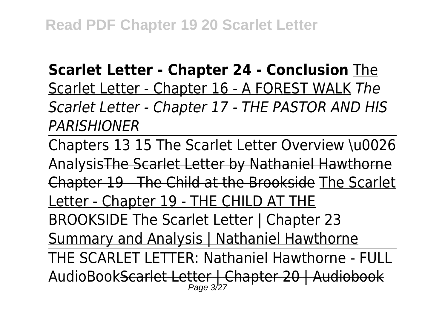### **Scarlet Letter - Chapter 24 - Conclusion** The

Scarlet Letter - Chapter 16 - A FOREST WALK *The Scarlet Letter - Chapter 17 - THE PASTOR AND HIS PARISHIONER*

Chapters 13 15 The Scarlet Letter Overview \u0026 AnalysisThe Scarlet Letter by Nathaniel Hawthorne Chapter 19 - The Child at the Brookside The Scarlet Letter - Chapter 19 - THE CHILD AT THE BROOKSIDE The Scarlet Letter | Chapter 23 Summary and Analysis | Nathaniel Hawthorne THE SCARLET LETTER: Nathaniel Hawthorne - FULL AudioBookScarlet Letter | Chapter 20 | Audiobook Page  $32^7$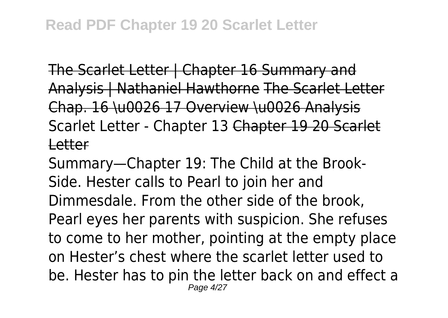The Scarlet Letter | Chapter 16 Summary and Analysis | Nathaniel Hawthorne The Scarlet Letter Chap. 16 \u0026 17 Overview \u0026 Analysis Scarlet Letter - Chapter 13 Chapter 19 20 Scarlet Letter

Summary—Chapter 19: The Child at the Brook-Side. Hester calls to Pearl to join her and Dimmesdale. From the other side of the brook, Pearl eyes her parents with suspicion. She refuses to come to her mother, pointing at the empty place on Hester's chest where the scarlet letter used to be. Hester has to pin the letter back on and effect a Page 4/27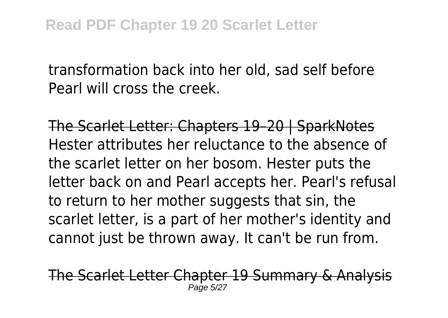transformation back into her old, sad self before Pearl will cross the creek.

The Scarlet Letter: Chapters 19–20 | SparkNotes Hester attributes her reluctance to the absence of the scarlet letter on her bosom. Hester puts the letter back on and Pearl accepts her. Pearl's refusal to return to her mother suggests that sin, the scarlet letter, is a part of her mother's identity and cannot just be thrown away. It can't be run from.

The Scarlet Letter Chapter 19 Summary & Analy Page 5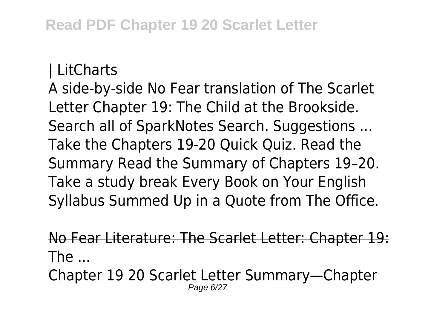#### | LitCharts

A side-by-side No Fear translation of The Scarlet Letter Chapter 19: The Child at the Brookside. Search all of SparkNotes Search. Suggestions ... Take the Chapters 19-20 Quick Quiz. Read the Summary Read the Summary of Chapters 19–20. Take a study break Every Book on Your English Syllabus Summed Up in a Quote from The Office.

No Fear Literature: The Scarlet Letter: Chapter 19:  $The...$ 

Chapter 19 20 Scarlet Letter Summary—Chapter Page 6/27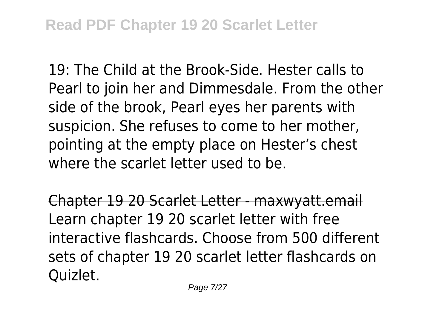19: The Child at the Brook-Side. Hester calls to Pearl to join her and Dimmesdale. From the other side of the brook, Pearl eyes her parents with suspicion. She refuses to come to her mother, pointing at the empty place on Hester's chest where the scarlet letter used to be.

Chapter 19 20 Scarlet Letter - maxwyatt.email Learn chapter 19 20 scarlet letter with free interactive flashcards. Choose from 500 different sets of chapter 19 20 scarlet letter flashcards on Quizlet.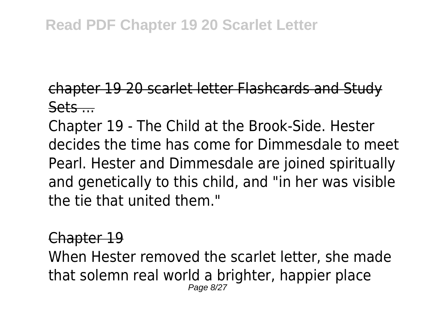## **Read PDF Chapter 19 20 Scarlet Letter**

# chapter 19 20 scarlet letter Flashcards and Study  $S$ ets  $\overline{\phantom{a}}$

Chapter 19 - The Child at the Brook-Side. Hester decides the time has come for Dimmesdale to meet Pearl. Hester and Dimmesdale are joined spiritually and genetically to this child, and "in her was visible the tie that united them."

#### Chapter 19

When Hester removed the scarlet letter, she made that solemn real world a brighter, happier place Page 8/27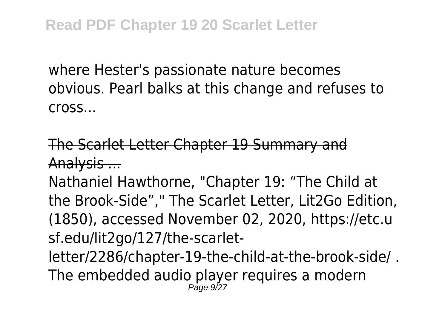where Hester's passionate nature becomes obvious. Pearl balks at this change and refuses to cross...

# The Scarlet Letter Chapter 19 Summary and Analysis ...

Nathaniel Hawthorne, "Chapter 19: "The Child at the Brook-Side"," The Scarlet Letter, Lit2Go Edition, (1850), accessed November 02, 2020, https://etc.u sf.edu/lit2go/127/the-scarletletter/2286/chapter-19-the-child-at-the-brook-side/ . The embedded audio player requires a modern Page 9/27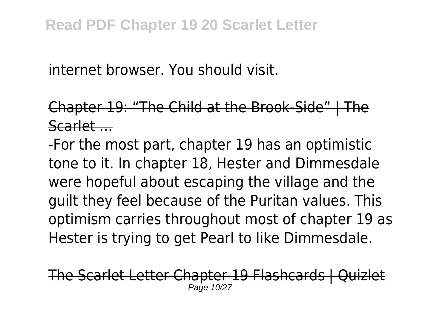internet browser. You should visit.

# Chapter 19: "The Child at the Brook-Side" | The Scarlet ...

-For the most part, chapter 19 has an optimistic tone to it. In chapter 18, Hester and Dimmesdale were hopeful about escaping the village and the guilt they feel because of the Puritan values. This optimism carries throughout most of chapter 19 as Hester is trying to get Pearl to like Dimmesdale.

The Scarlet Letter Chapter 19 Flashcards | Quizlet Page 10/27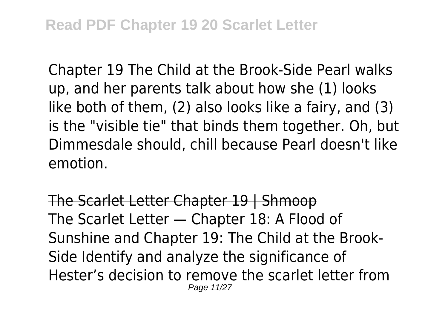Chapter 19 The Child at the Brook-Side Pearl walks up, and her parents talk about how she (1) looks like both of them, (2) also looks like a fairy, and (3) is the "visible tie" that binds them together. Oh, but Dimmesdale should, chill because Pearl doesn't like emotion.

The Scarlet Letter Chapter 19 | Shmoop The Scarlet Letter — Chapter 18: A Flood of Sunshine and Chapter 19: The Child at the Brook-Side Identify and analyze the significance of Hester's decision to remove the scarlet letter from Page 11/27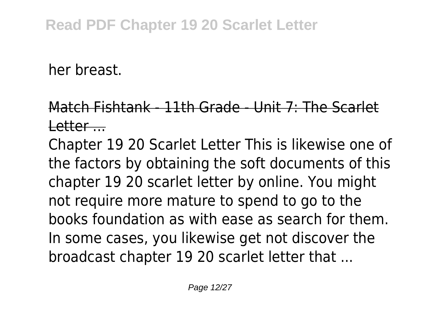her breast.

# Match Fishtank - 11th Grade - Unit 7: The Scarlet  $l$  etter  $\qquad$

Chapter 19 20 Scarlet Letter This is likewise one of the factors by obtaining the soft documents of this chapter 19 20 scarlet letter by online. You might not require more mature to spend to go to the books foundation as with ease as search for them. In some cases, you likewise get not discover the broadcast chapter 19 20 scarlet letter that ...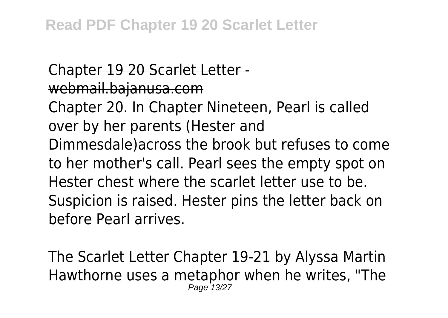Chapter 19 20 Scarlet Letter webmail.bajanusa.com Chapter 20. In Chapter Nineteen, Pearl is called over by her parents (Hester and Dimmesdale)across the brook but refuses to come to her mother's call. Pearl sees the empty spot on Hester chest where the scarlet letter use to be. Suspicion is raised. Hester pins the letter back on before Pearl arrives.

The Scarlet Letter Chapter 19-21 by Alyssa Martin Hawthorne uses a metaphor when he writes, "The Page 13/27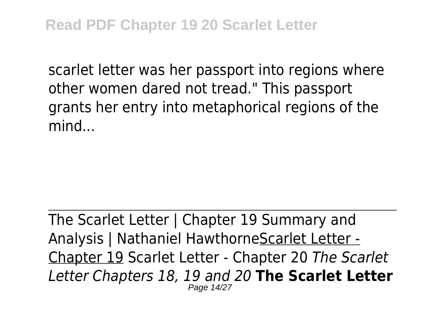scarlet letter was her passport into regions where other women dared not tread." This passport grants her entry into metaphorical regions of the mind

The Scarlet Letter | Chapter 19 Summary and Analysis | Nathaniel HawthorneScarlet Letter - Chapter 19 Scarlet Letter - Chapter 20 *The Scarlet Letter Chapters 18, 19 and 20* **The Scarlet Letter** Page 14/27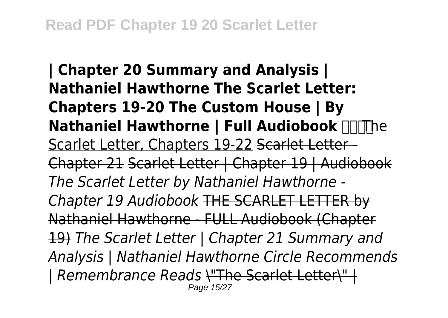**| Chapter 20 Summary and Analysis | Nathaniel Hawthorne The Scarlet Letter: Chapters 19-20 The Custom House | By Nathaniel Hawthorne | Full Audiobook <b>THT**he Scarlet Letter, Chapters 19-22 Scarlet Letter-Chapter 21 Scarlet Letter | Chapter 19 | Audiobook *The Scarlet Letter by Nathaniel Hawthorne - Chapter 19 Audiobook* THE SCARLET LETTER by Nathaniel Hawthorne - FULL Audiobook (Chapter 19) *The Scarlet Letter | Chapter 21 Summary and Analysis | Nathaniel Hawthorne Circle Recommends | Remembrance Reads* \"The Scarlet Letter\" | Page 15/27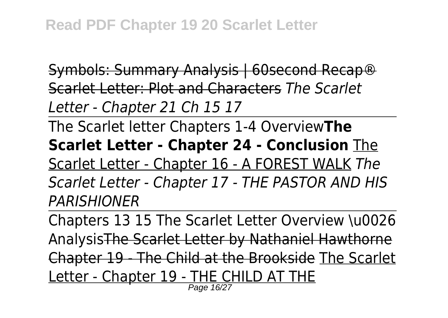Symbols: Summary Analysis | 60second Recap® Scarlet Letter: Plot and Characters *The Scarlet Letter - Chapter 21 Ch 15 17*

The Scarlet letter Chapters 1-4 Overview**The Scarlet Letter - Chapter 24 - Conclusion** The Scarlet Letter - Chapter 16 - A FOREST WALK *The Scarlet Letter - Chapter 17 - THE PASTOR AND HIS PARISHIONER*

Chapters 13 15 The Scarlet Letter Overview \u0026 AnalysisThe Scarlet Letter by Nathaniel Hawthorne Chapter 19 - The Child at the Brookside The Scarlet Letter - Chapter 19 - THE CHILD AT THE<br>Page 1627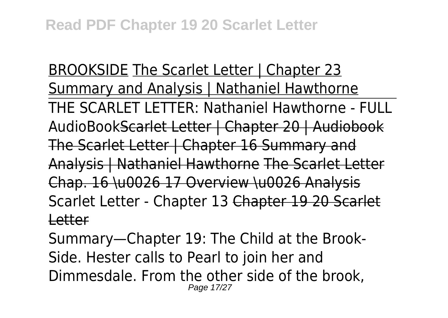BROOKSIDE The Scarlet Letter | Chapter 23 Summary and Analysis | Nathaniel Hawthorne THE SCARLET LETTER: Nathaniel Hawthorne - FULL AudioBookScarlet Letter | Chapter 20 | Audiobook The Scarlet Letter | Chapter 16 Summary and Analysis | Nathaniel Hawthorne The Scarlet Letter Chap. 16 \u0026 17 Overview \u0026 Analysis Scarlet Letter - Chapter 13 Chapter 19 20 Scarlet Letter

Summary—Chapter 19: The Child at the Brook-Side. Hester calls to Pearl to join her and Dimmesdale. From the other side of the brook, Page 17/27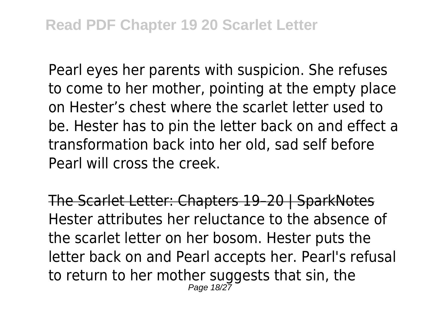Pearl eyes her parents with suspicion. She refuses to come to her mother, pointing at the empty place on Hester's chest where the scarlet letter used to be. Hester has to pin the letter back on and effect a transformation back into her old, sad self before Pearl will cross the creek.

The Scarlet Letter: Chapters 19–20 | SparkNotes Hester attributes her reluctance to the absence of the scarlet letter on her bosom. Hester puts the letter back on and Pearl accepts her. Pearl's refusal to return to her mother suggests that sin, the Page 18/27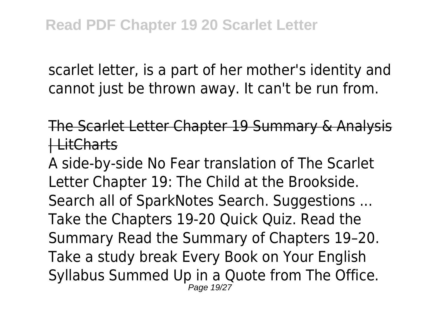scarlet letter, is a part of her mother's identity and cannot just be thrown away. It can't be run from.

The Scarlet Letter Chapter 19 Summary & Analysis | LitCharts

A side-by-side No Fear translation of The Scarlet Letter Chapter 19: The Child at the Brookside. Search all of SparkNotes Search. Suggestions ... Take the Chapters 19-20 Quick Quiz. Read the Summary Read the Summary of Chapters 19–20. Take a study break Every Book on Your English Syllabus Summed Up in a Quote from The Office. Page 19/27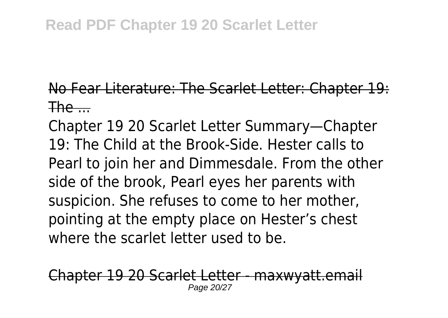## **Read PDF Chapter 19 20 Scarlet Letter**

# No Fear Literature: The Scarlet Letter: Chapter 19:  $The$ ....

Chapter 19 20 Scarlet Letter Summary—Chapter 19: The Child at the Brook-Side. Hester calls to Pearl to join her and Dimmesdale. From the other side of the brook, Pearl eyes her parents with suspicion. She refuses to come to her mother, pointing at the empty place on Hester's chest where the scarlet letter used to be.

pter 19 20 Scarlet Letter - maxwyatt Page 20/27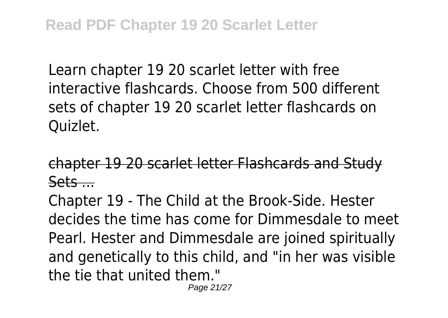Learn chapter 19 20 scarlet letter with free interactive flashcards. Choose from 500 different sets of chapter 19 20 scarlet letter flashcards on Quizlet.

chapter 19 20 scarlet letter Flashcards and Study  $Sets...$ 

Chapter 19 - The Child at the Brook-Side. Hester decides the time has come for Dimmesdale to meet Pearl. Hester and Dimmesdale are joined spiritually and genetically to this child, and "in her was visible the tie that united them." Page 21/27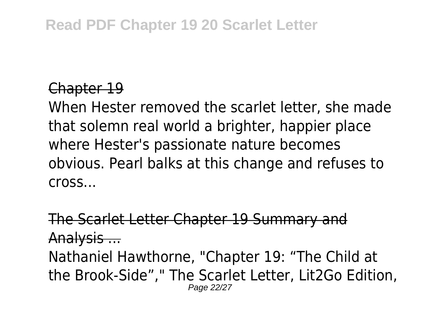# **Read PDF Chapter 19 20 Scarlet Letter**

#### Chapter 19

When Hester removed the scarlet letter, she made that solemn real world a brighter, happier place where Hester's passionate nature becomes obvious. Pearl balks at this change and refuses to cross...

The Scarlet Letter Chapter 19 Summary and Analysis ... Nathaniel Hawthorne, "Chapter 19: "The Child at the Brook-Side"," The Scarlet Letter, Lit2Go Edition, Page 22/27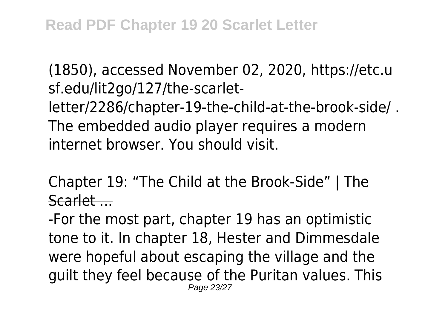(1850), accessed November 02, 2020, https://etc.u sf.edu/lit2go/127/the-scarletletter/2286/chapter-19-the-child-at-the-brook-side/ . The embedded audio player requires a modern internet browser. You should visit.

Chapter 19: "The Child at the Brook-Side" | The Scarlet ...

-For the most part, chapter 19 has an optimistic tone to it. In chapter 18, Hester and Dimmesdale were hopeful about escaping the village and the guilt they feel because of the Puritan values. This Page 23/27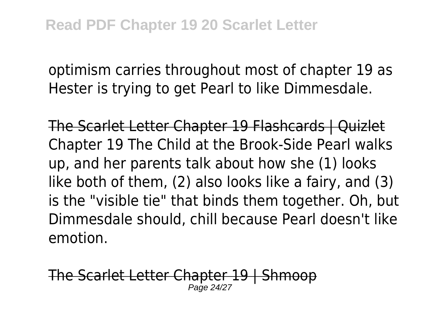optimism carries throughout most of chapter 19 as Hester is trying to get Pearl to like Dimmesdale.

The Scarlet Letter Chapter 19 Flashcards | Quizlet Chapter 19 The Child at the Brook-Side Pearl walks up, and her parents talk about how she (1) looks like both of them, (2) also looks like a fairy, and (3) is the "visible tie" that binds them together. Oh, but Dimmesdale should, chill because Pearl doesn't like emotion.

The Scarlet Letter Chapter 19 | Shmo Page 24/27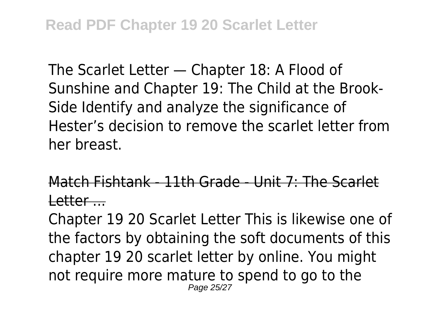The Scarlet Letter — Chapter 18: A Flood of Sunshine and Chapter 19: The Child at the Brook-Side Identify and analyze the significance of Hester's decision to remove the scarlet letter from her breast.

# Match Fishtank - 11th Grade - Unit 7: The Scarlet Letter ...

Chapter 19 20 Scarlet Letter This is likewise one of the factors by obtaining the soft documents of this chapter 19 20 scarlet letter by online. You might not require more mature to spend to go to the Page 25/27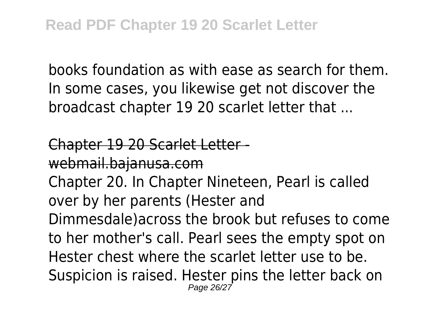books foundation as with ease as search for them. In some cases, you likewise get not discover the broadcast chapter 19 20 scarlet letter that ...

Chapter 19 20 Scarlet Letter webmail.bajanusa.com Chapter 20. In Chapter Nineteen, Pearl is called over by her parents (Hester and Dimmesdale)across the brook but refuses to come to her mother's call. Pearl sees the empty spot on Hester chest where the scarlet letter use to be. Suspicion is raised. Hester pins the letter back on Page 26/27